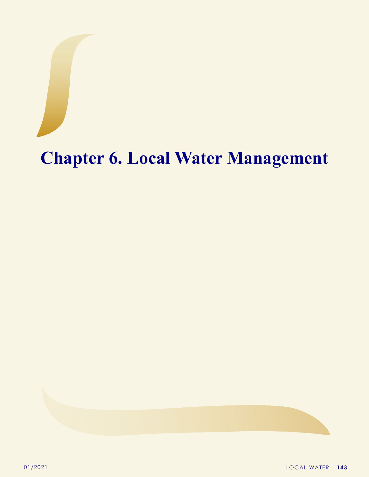## **Chapter 6. Local Water Management**